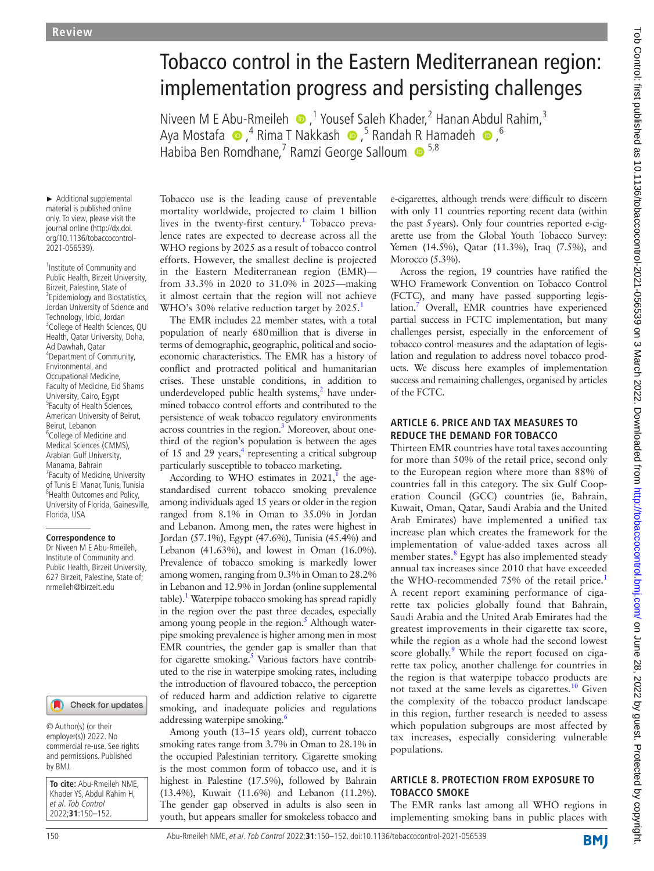# Tobacco control in the Eastern Mediterranean region: implementation progress and persisting challenges

NiveenM E Abu-Rmeileh 
Interpoort Saleh Khader,<sup>2</sup> Hanan Abdul Rahim,<sup>3</sup> AyaMostafa (D,<sup>4</sup> Rima T Nakkash (D,<sup>5</sup> Randah [R](http://orcid.org/0000-0002-8139-2418) Hamadeh (D,<sup>6</sup> Habiba Ben Romdhane,<sup>7</sup> Ramzi George Salloum <sup>65,8</sup>

► Additional supplemental material is published online only. To view, please visit the journal online ([http://dx.doi.](http://dx.doi.org/10.1136/tobaccocontrol-2021-056539) [org/10.1136/tobaccocontrol-](http://dx.doi.org/10.1136/tobaccocontrol-2021-056539)[2021-056539\)](http://dx.doi.org/10.1136/tobaccocontrol-2021-056539).

<sup>1</sup> Institute of Community and Public Health, Birzeit University, Birzeit, Palestine, State of <sup>2</sup> Epidemiology and Biostatistics, Jordan University of Science and Technology, Irbid, Jordan 3 College of Health Sciences, QU Health, Qatar University, Doha, Ad Dawhah, Qatar 4 Department of Community, Environmental, and Occupational Medicine, Faculty of Medicine, Eid Shams University, Cairo, Egypt <sup>5</sup>Faculty of Health Sciences, American University of Beirut, Beirut, Lebanon <sup>6</sup>College of Medicine and Medical Sciences (CMMS), Arabian Gulf University, Manama, Bahrain <sup>7</sup> Faculty of Medicine, University of Tunis El Manar, Tunis, Tunisia <sup>8</sup> Health Outcomes and Policy, University of Florida, Gainesville, Florida, USA

#### **Correspondence to**

Dr Niveen M E Abu-Rmeileh, Institute of Community and Public Health, Birzeit University, 627 Birzeit, Palestine, State of; nrmeileh@birzeit.edu

#### Check for updates

© Author(s) (or their employer(s)) 2022. No commercial re-use. See rights and permissions. Published by BMJ.

**To cite:** Abu-Rmeileh NME, Khader YS, Abdul Rahim H, et al. Tob Control 2022;**31**:150–152.

Tobacco use is the leading cause of preventable mortality worldwide, projected to claim 1 billion lives in the twenty-first century.<sup>[1](#page-2-0)</sup> Tobacco prevalence rates are expected to decrease across all the WHO regions by 2025 as a result of tobacco control efforts. However, the smallest decline is projected in the Eastern Mediterranean region (EMR) from 33.3% in 2020 to 31.0% in 2025—making it almost certain that the region will not achieve WHO's 30% relative reduction target by 2025.<sup>[1](#page-2-0)</sup>

The EMR includes 22 member states, with a total population of nearly 680million that is diverse in terms of demographic, geographic, political and socioeconomic characteristics. The EMR has a history of conflict and protracted political and humanitarian crises. These unstable conditions, in addition to underdeveloped public health systems,<sup>2</sup> have undermined tobacco control efforts and contributed to the persistence of weak tobacco regulatory environments across countries in the region.<sup>3</sup> Moreover, about onethird of the region's population is between the ages of 15 and 29 years, $4$  representing a critical subgroup particularly susceptible to tobacco marketing.

According to WHO estimates in  $2021$ ,<sup>1</sup> the agestandardised current tobacco smoking prevalence among individuals aged 15 years or older in the region ranged from 8.1% in Oman to 35.0% in Jordan and Lebanon. Among men, the rates were highest in Jordan (57.1%), Egypt (47.6%), Tunisia (45.4%) and Lebanon (41.63%), and lowest in Oman (16.0%). Prevalence of tobacco smoking is markedly lower among women, ranging from 0.3% in Oman to 28.2% in Lebanon and 12.9% in Jordan [\(online supplemental](https://dx.doi.org/10.1136/tobaccocontrol-2021-056539) [table](https://dx.doi.org/10.1136/tobaccocontrol-2021-056539)).<sup>1</sup> Waterpipe tobacco smoking has spread rapidly in the region over the past three decades, especially among young people in the region.<sup>5</sup> Although waterpipe smoking prevalence is higher among men in most EMR countries, the gender gap is smaller than that for cigarette smoking.<sup>5</sup> Various factors have contributed to the rise in waterpipe smoking rates, including the introduction of flavoured tobacco, the perception of reduced harm and addiction relative to cigarette smoking, and inadequate policies and regulations addressing waterpipe smoking.<sup>[6](#page-2-5)</sup>

Among youth (13–15 years old), current tobacco smoking rates range from 3.7% in Oman to 28.1% in the occupied Palestinian territory. Cigarette smoking is the most common form of tobacco use, and it is highest in Palestine (17.5%), followed by Bahrain (13.4%), Kuwait (11.6%) and Lebanon (11.2%). The gender gap observed in adults is also seen in youth, but appears smaller for smokeless tobacco and e-cigarettes, although trends were difficult to discern with only 11 countries reporting recent data (within the past 5years). Only four countries reported e-cigarette use from the Global Youth Tobacco Survey: Yemen (14.5%), Qatar (11.3%), Iraq (7.5%), and Morocco (5.3%).

Across the region, 19 countries have ratified the WHO Framework Convention on Tobacco Control (FCTC), and many have passed supporting legislation.<sup>7</sup> Overall, EMR countries have experienced partial success in FCTC implementation, but many challenges persist, especially in the enforcement of tobacco control measures and the adaptation of legislation and regulation to address novel tobacco products. We discuss here examples of implementation success and remaining challenges, organised by articles of the FCTC.

#### **ARTICLE 6. PRICE AND TAX MEASURES TO REDUCE THE DEMAND FOR TOBACCO**

Thirteen EMR countries have total taxes accounting for more than 50% of the retail price, second only to the European region where more than 88% of countries fall in this category. The six Gulf Cooperation Council (GCC) countries (ie, Bahrain, Kuwait, Oman, Qatar, Saudi Arabia and the United Arab Emirates) have implemented a unified tax increase plan which creates the framework for the implementation of value-added taxes across all member states.<sup>8</sup> Egypt has also implemented steady annual tax increases since 2010 that have exceeded the WHO-recommended 75% of the retail price.<sup>[1](#page-2-0)</sup> A recent report examining performance of cigarette tax policies globally found that Bahrain, Saudi Arabia and the United Arab Emirates had the greatest improvements in their cigarette tax score, while the region as a whole had the second lowest score globally.<sup>[9](#page-2-8)</sup> While the report focused on cigarette tax policy, another challenge for countries in the region is that waterpipe tobacco products are not taxed at the same levels as cigarettes. $10$  Given the complexity of the tobacco product landscape in this region, further research is needed to assess which population subgroups are most affected by tax increases, especially considering vulnerable populations.

#### **ARTICLE 8. PROTECTION FROM EXPOSURE TO TOBACCO SMOKE**

The EMR ranks last among all WHO regions in implementing smoking bans in public places with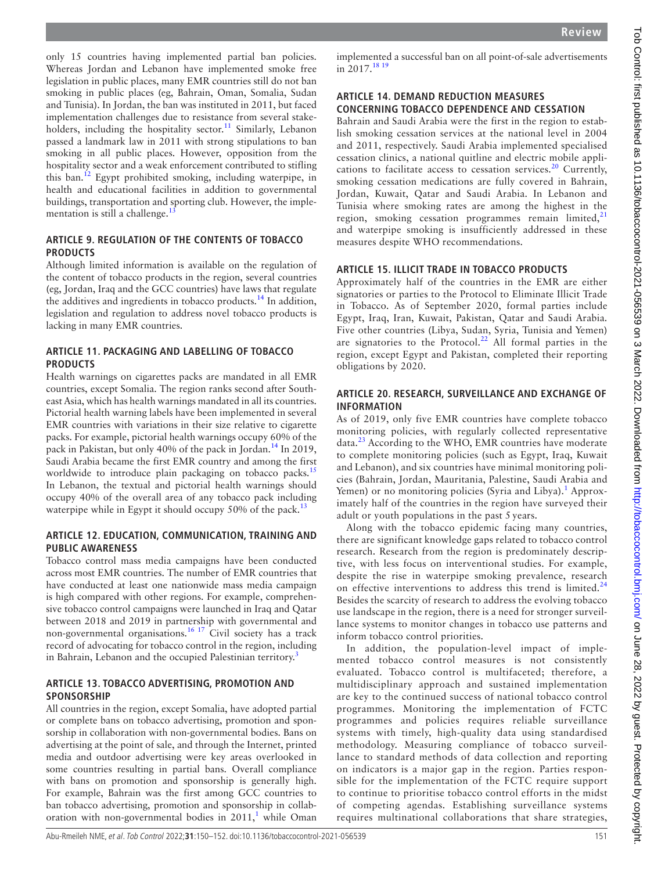only 15 countries having implemented partial ban policies. Whereas Jordan and Lebanon have implemented smoke free legislation in public places, many EMR countries still do not ban smoking in public places (eg, Bahrain, Oman, Somalia, Sudan and Tunisia). In Jordan, the ban was instituted in 2011, but faced implementation challenges due to resistance from several stakeholders, including the hospitality sector.<sup>11</sup> Similarly, Lebanon passed a landmark law in 2011 with strong stipulations to ban smoking in all public places. However, opposition from the hospitality sector and a weak enforcement contributed to stifling this ban[.12](#page-2-11) Egypt prohibited smoking, including waterpipe, in health and educational facilities in addition to governmental buildings, transportation and sporting club. However, the implementation is still a challenge. $^{13}$  $^{13}$  $^{13}$ 

## **ARTICLE 9. REGULATION OF THE CONTENTS OF TOBACCO PRODUCTS**

Although limited information is available on the regulation of the content of tobacco products in the region, several countries (eg, Jordan, Iraq and the GCC countries) have laws that regulate the additives and ingredients in tobacco products.<sup>14</sup> In addition, legislation and regulation to address novel tobacco products is lacking in many EMR countries.

## **ARTICLE 11. PACKAGING AND LABELLING OF TOBACCO PRODUCTS**

Health warnings on cigarettes packs are mandated in all EMR countries, except Somalia. The region ranks second after Southeast Asia, which has health warnings mandated in all its countries. Pictorial health warning labels have been implemented in several EMR countries with variations in their size relative to cigarette packs. For example, pictorial health warnings occupy 60% of the pack in Pakistan, but only 40% of the pack in Jordan.<sup>[14](#page-2-13)</sup> In 2019, Saudi Arabia became the first EMR country and among the first worldwide to introduce plain packaging on tobacco packs.<sup>[15](#page-2-14)</sup> In Lebanon, the textual and pictorial health warnings should occupy 40% of the overall area of any tobacco pack including waterpipe while in Egypt it should occupy 50% of the pack.<sup>13</sup>

### **ARTICLE 12. EDUCATION, COMMUNICATION, TRAINING AND PUBLIC AWARENESS**

Tobacco control mass media campaigns have been conducted across most EMR countries. The number of EMR countries that have conducted at least one nationwide mass media campaign is high compared with other regions. For example, comprehensive tobacco control campaigns were launched in Iraq and Qatar between 2018 and 2019 in partnership with governmental and non-governmental organisations.<sup>16 17</sup> Civil society has a track record of advocating for tobacco control in the region, including in Bahrain, Lebanon and the occupied Palestinian territory.<sup>[3](#page-2-2)</sup>

#### **ARTICLE 13. TOBACCO ADVERTISING, PROMOTION AND SPONSORSHIP**

All countries in the region, except Somalia, have adopted partial or complete bans on tobacco advertising, promotion and sponsorship in collaboration with non-governmental bodies. Bans on advertising at the point of sale, and through the Internet, printed media and outdoor advertising were key areas overlooked in some countries resulting in partial bans. Overall compliance with bans on promotion and sponsorship is generally high. For example, Bahrain was the first among GCC countries to ban tobacco advertising, promotion and sponsorship in collaboration with non-governmental bodies in  $2011$  $2011$  $2011$ ,<sup>1</sup> while Oman

implemented a successful ban on all point-of-sale advertisements in  $2017.^{18}$  19

## **ARTICLE 14. DEMAND REDUCTION MEASURES CONCERNING TOBACCO DEPENDENCE AND CESSATION**

Bahrain and Saudi Arabia were the first in the region to establish smoking cessation services at the national level in 2004 and 2011, respectively. Saudi Arabia implemented specialised cessation clinics, a national quitline and electric mobile appli-cations to facilitate access to cessation services.<sup>[20](#page-2-17)</sup> Currently, smoking cessation medications are fully covered in Bahrain, Jordan, Kuwait, Qatar and Saudi Arabia. In Lebanon and Tunisia where smoking rates are among the highest in the region, smoking cessation programmes remain limited, $21$ and waterpipe smoking is insufficiently addressed in these measures despite WHO recommendations.

## **ARTICLE 15. ILLICIT TRADE IN TOBACCO PRODUCTS**

Approximately half of the countries in the EMR are either signatories or parties to the Protocol to Eliminate Illicit Trade in Tobacco. As of September 2020, formal parties include Egypt, Iraq, Iran, Kuwait, Pakistan, Qatar and Saudi Arabia. Five other countries (Libya, Sudan, Syria, Tunisia and Yemen) are signatories to the Protocol.<sup>22</sup> All formal parties in the region, except Egypt and Pakistan, completed their reporting obligations by 2020.

### **ARTICLE 20. RESEARCH, SURVEILLANCE AND EXCHANGE OF INFORMATION**

As of 2019, only five EMR countries have complete tobacco monitoring policies, with regularly collected representative data.<sup>[23](#page-2-20)</sup> According to the WHO, EMR countries have moderate to complete monitoring policies (such as Egypt, Iraq, Kuwait and Lebanon), and six countries have minimal monitoring policies (Bahrain, Jordan, Mauritania, Palestine, Saudi Arabia and Yemen) or no monitoring policies (Syria and Libya).<sup>[1](#page-2-0)</sup> Approximately half of the countries in the region have surveyed their adult or youth populations in the past 5 years.

Along with the tobacco epidemic facing many countries, there are significant knowledge gaps related to tobacco control research. Research from the region is predominately descriptive, with less focus on interventional studies. For example, despite the rise in waterpipe smoking prevalence, research on effective interventions to address this trend is limited.<sup>[24](#page-2-21)</sup> Besides the scarcity of research to address the evolving tobacco use landscape in the region, there is a need for stronger surveillance systems to monitor changes in tobacco use patterns and inform tobacco control priorities.

In addition, the population-level impact of implemented tobacco control measures is not consistently evaluated. Tobacco control is multifaceted; therefore, a multidisciplinary approach and sustained implementation are key to the continued success of national tobacco control programmes. Monitoring the implementation of FCTC programmes and policies requires reliable surveillance systems with timely, high-quality data using standardised methodology. Measuring compliance of tobacco surveillance to standard methods of data collection and reporting on indicators is a major gap in the region. Parties responsible for the implementation of the FCTC require support to continue to prioritise tobacco control efforts in the midst of competing agendas. Establishing surveillance systems requires multinational collaborations that share strategies,